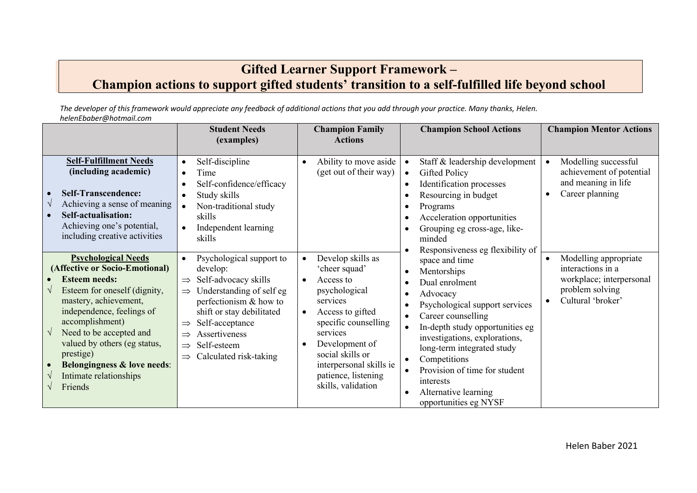## **Gifted Learner Support Framework – Champion actions to support gifted students' transition to a self-fulfilled life beyond school**

*The developer of this framework would appreciate any feedback of additional actions that you add through your practice. Many thanks, Helen. helenEbaber@hotmail.com*

|                                                                                                                                                                                                                                                                                                                                                      | <b>Student Needs</b><br>(examples)                                                                                                                                                                                                                                                               | <b>Champion Family</b><br><b>Actions</b>                                                                                                                                                                                                                        | <b>Champion School Actions</b>                                                                                                                                                                                                                                                                                                                                              | <b>Champion Mentor Actions</b>                                                                                                           |
|------------------------------------------------------------------------------------------------------------------------------------------------------------------------------------------------------------------------------------------------------------------------------------------------------------------------------------------------------|--------------------------------------------------------------------------------------------------------------------------------------------------------------------------------------------------------------------------------------------------------------------------------------------------|-----------------------------------------------------------------------------------------------------------------------------------------------------------------------------------------------------------------------------------------------------------------|-----------------------------------------------------------------------------------------------------------------------------------------------------------------------------------------------------------------------------------------------------------------------------------------------------------------------------------------------------------------------------|------------------------------------------------------------------------------------------------------------------------------------------|
| <b>Self-Fulfillment Needs</b><br>(including academic)<br><b>Self-Transcendence:</b><br>Achieving a sense of meaning<br>Self-actualisation:<br>Achieving one's potential,<br>including creative activities                                                                                                                                            | Self-discipline<br>$\bullet$<br>Time<br>Self-confidence/efficacy<br>Study skills<br>Non-traditional study<br>skills<br>Independent learning<br>skills                                                                                                                                            | Ability to move aside<br>(get out of their way)                                                                                                                                                                                                                 | Staff & leadership development<br><b>Gifted Policy</b><br>$\bullet$<br>Identification processes<br>Resourcing in budget<br>Programs<br>Acceleration opportunities<br>Grouping eg cross-age, like-<br>minded<br>Responsiveness eg flexibility of                                                                                                                             | Modelling successful<br>$\bullet$<br>achievement of potential<br>and meaning in life<br>Career planning                                  |
| <b>Psychological Needs</b><br>(Affective or Socio-Emotional)<br><b>Esteem needs:</b><br>Esteem for oneself (dignity,<br>mastery, achievement,<br>independence, feelings of<br>accomplishment)<br>Need to be accepted and<br>valued by others (eg status,<br>prestige)<br><b>Belongingness &amp; love needs:</b><br>Intimate relationships<br>Friends | Psychological support to<br>develop:<br>Self-advocacy skills<br>$\Rightarrow$<br>Understanding of self eg<br>$\Rightarrow$<br>perfectionism & how to<br>shift or stay debilitated<br>Self-acceptance<br>Assertiveness<br>Self-esteem<br>$\Rightarrow$<br>Calculated risk-taking<br>$\Rightarrow$ | Develop skills as<br>'cheer squad'<br>Access to<br>$\bullet$<br>psychological<br>services<br>Access to gifted<br>specific counselling<br>services<br>Development of<br>social skills or<br>interpersonal skills ie<br>patience, listening<br>skills, validation | space and time<br>Mentorships<br>Dual enrolment<br>Advocacy<br>Psychological support services<br>Career counselling<br>$\bullet$<br>In-depth study opportunities eg<br>$\bullet$<br>investigations, explorations,<br>long-term integrated study<br>Competitions<br>$\bullet$<br>Provision of time for student<br>interests<br>Alternative learning<br>opportunities eg NYSF | Modelling appropriate<br>$\bullet$<br>interactions in a<br>workplace; interpersonal<br>problem solving<br>Cultural 'broker'<br>$\bullet$ |